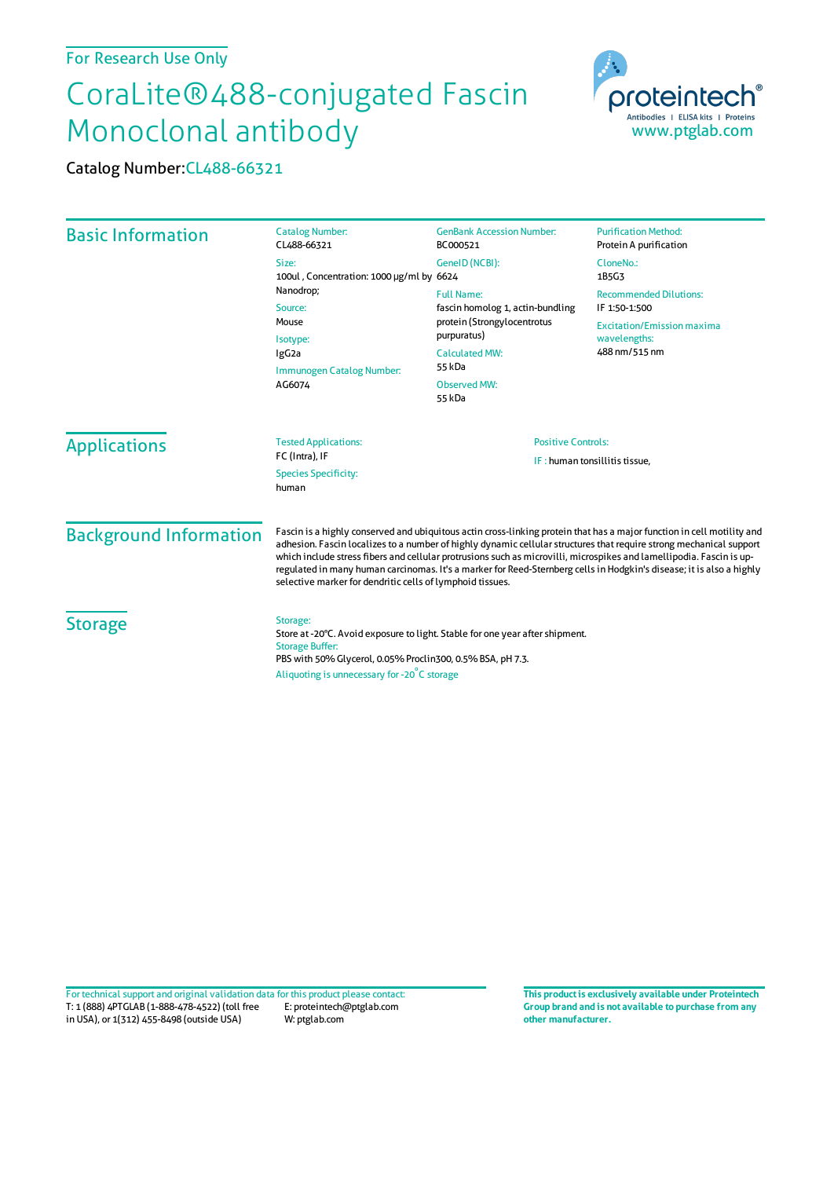## For Research Use Only

## CoraLite®488-conjugated Fascin Monoclonal antibody

| <u>Monoclonal antibody</u>    |                                                                                                                                                                                                                                                                                                                                                                                                                                                                                                                                                            |                                                                                                                                                                                                                                           | www.ptglab.com                                                                                                                                                                                      |  |
|-------------------------------|------------------------------------------------------------------------------------------------------------------------------------------------------------------------------------------------------------------------------------------------------------------------------------------------------------------------------------------------------------------------------------------------------------------------------------------------------------------------------------------------------------------------------------------------------------|-------------------------------------------------------------------------------------------------------------------------------------------------------------------------------------------------------------------------------------------|-----------------------------------------------------------------------------------------------------------------------------------------------------------------------------------------------------|--|
| Catalog Number: CL488-66321   |                                                                                                                                                                                                                                                                                                                                                                                                                                                                                                                                                            |                                                                                                                                                                                                                                           |                                                                                                                                                                                                     |  |
| <b>Basic Information</b>      | <b>Catalog Number:</b><br>CL488-66321<br>Size:<br>100ul, Concentration: 1000 µg/ml by 6624<br>Nanodrop;<br>Source:<br>Mouse<br>Isotype:<br>IgG <sub>2a</sub><br>Immunogen Catalog Number:<br>AG6074                                                                                                                                                                                                                                                                                                                                                        | <b>GenBank Accession Number:</b><br>BC000521<br>GenelD (NCBI):<br><b>Full Name:</b><br>fascin homolog 1, actin-bundling<br>protein (Strongylocentrotus<br>purpuratus)<br><b>Calculated MW:</b><br>55 kDa<br><b>Observed MW:</b><br>55 kDa | <b>Purification Method:</b><br>Protein A purification<br>CloneNo.:<br>1B5G3<br><b>Recommended Dilutions:</b><br>IF 1:50-1:500<br><b>Excitation/Emission maxima</b><br>wavelengths:<br>488 nm/515 nm |  |
| <b>Applications</b>           | <b>Tested Applications:</b><br>FC (Intra), IF<br><b>Species Specificity:</b><br>human                                                                                                                                                                                                                                                                                                                                                                                                                                                                      | <b>Positive Controls:</b><br>IF: human tonsillitis tissue,                                                                                                                                                                                |                                                                                                                                                                                                     |  |
| <b>Background Information</b> | Fascin is a highly conserved and ubiquitous actin cross-linking protein that has a major function in cell motility and<br>adhesion. Fascin localizes to a number of highly dynamic cellular structures that require strong mechanical support<br>which include stress fibers and cellular protrusions such as microvilli, microspikes and lamellipodia. Fascin is up-<br>regulated in many human carcinomas. It's a marker for Reed-Sternberg cells in Hodgkin's disease; it is also a highly<br>selective marker for dendritic cells of lymphoid tissues. |                                                                                                                                                                                                                                           |                                                                                                                                                                                                     |  |
| <b>Storage</b>                | Storage:<br>Store at -20°C. Avoid exposure to light. Stable for one year after shipment.<br><b>Storage Buffer:</b><br>PBS with 50% Glycerol, 0.05% Proclin300, 0.5% BSA, pH 7.3.<br>Aliquoting is unnecessary for -20°C storage                                                                                                                                                                                                                                                                                                                            |                                                                                                                                                                                                                                           |                                                                                                                                                                                                     |  |

T: 1 (888) 4PTGLAB (1-888-478-4522) (toll free in USA), or 1(312) 455-8498 (outside USA) E: proteintech@ptglab.com W: ptglab.com Fortechnical support and original validation data forthis product please contact: **This productis exclusively available under Proteintech**

**Group brand and is not available to purchase from any other manufacturer.**